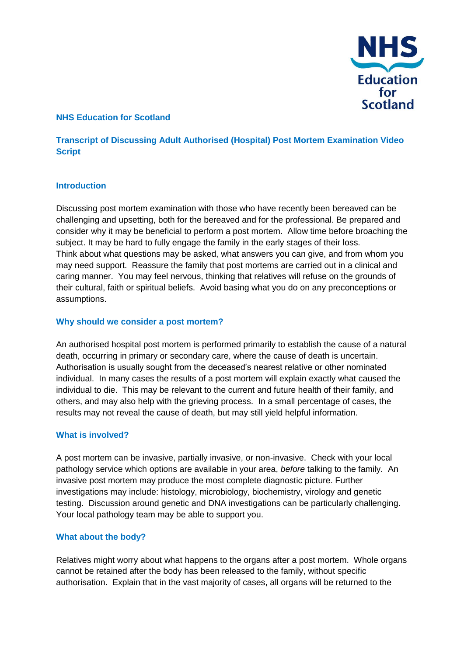

## **NHS Education for Scotland**

# **Transcript of Discussing Adult Authorised (Hospital) Post Mortem Examination Video Script**

#### **Introduction**

Discussing post mortem examination with those who have recently been bereaved can be challenging and upsetting, both for the bereaved and for the professional. Be prepared and consider why it may be beneficial to perform a post mortem. Allow time before broaching the subject. It may be hard to fully engage the family in the early stages of their loss. Think about what questions may be asked, what answers you can give, and from whom you may need support. Reassure the family that post mortems are carried out in a clinical and caring manner. You may feel nervous, thinking that relatives will refuse on the grounds of their cultural, faith or spiritual beliefs. Avoid basing what you do on any preconceptions or assumptions.

#### **Why should we consider a post mortem?**

An authorised hospital post mortem is performed primarily to establish the cause of a natural death, occurring in primary or secondary care, where the cause of death is uncertain. Authorisation is usually sought from the deceased's nearest relative or other nominated individual. In many cases the results of a post mortem will explain exactly what caused the individual to die. This may be relevant to the current and future health of their family, and others, and may also help with the grieving process. In a small percentage of cases, the results may not reveal the cause of death, but may still yield helpful information.

#### **What is involved?**

A post mortem can be invasive, partially invasive, or non-invasive. Check with your local pathology service which options are available in your area, *before* talking to the family. An invasive post mortem may produce the most complete diagnostic picture. Further investigations may include: histology, microbiology, biochemistry, virology and genetic testing. Discussion around genetic and DNA investigations can be particularly challenging. Your local pathology team may be able to support you.

#### **What about the body?**

Relatives might worry about what happens to the organs after a post mortem. Whole organs cannot be retained after the body has been released to the family, without specific authorisation. Explain that in the vast majority of cases, all organs will be returned to the